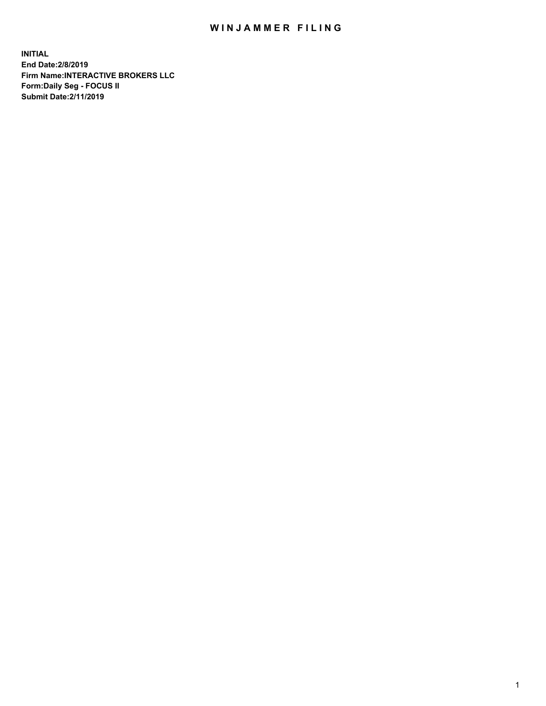## WIN JAMMER FILING

**INITIAL End Date:2/8/2019 Firm Name:INTERACTIVE BROKERS LLC Form:Daily Seg - FOCUS II Submit Date:2/11/2019**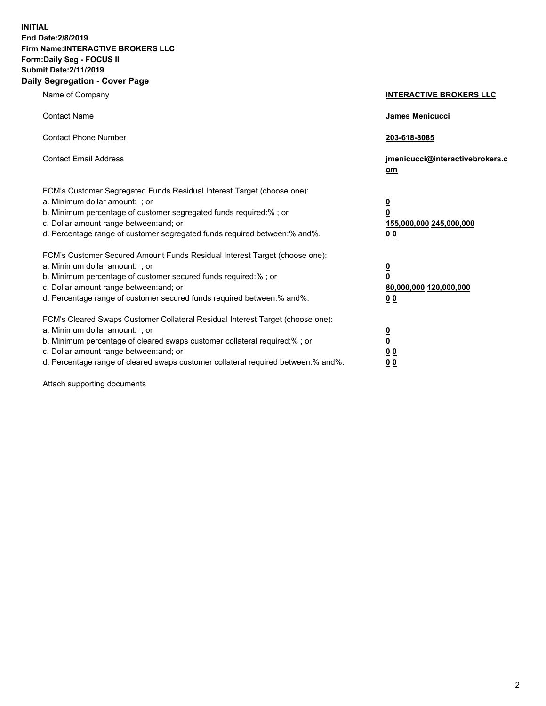**INITIAL End Date:2/8/2019 Firm Name:INTERACTIVE BROKERS LLC Form:Daily Seg - FOCUS II Submit Date:2/11/2019 Daily Segregation - Cover Page**

| Name of Company                                                                                                                                                                                                                                                                                                                | <b>INTERACTIVE BROKERS LLC</b>                                                   |
|--------------------------------------------------------------------------------------------------------------------------------------------------------------------------------------------------------------------------------------------------------------------------------------------------------------------------------|----------------------------------------------------------------------------------|
| <b>Contact Name</b>                                                                                                                                                                                                                                                                                                            | James Menicucci                                                                  |
| <b>Contact Phone Number</b>                                                                                                                                                                                                                                                                                                    | 203-618-8085                                                                     |
| <b>Contact Email Address</b>                                                                                                                                                                                                                                                                                                   | jmenicucci@interactivebrokers.c<br>om                                            |
| FCM's Customer Segregated Funds Residual Interest Target (choose one):<br>a. Minimum dollar amount: ; or<br>b. Minimum percentage of customer segregated funds required:% ; or<br>c. Dollar amount range between: and; or<br>d. Percentage range of customer segregated funds required between:% and%.                         | <u>0</u><br>$\overline{\mathbf{0}}$<br>155,000,000 245,000,000<br>0 <sub>0</sub> |
| FCM's Customer Secured Amount Funds Residual Interest Target (choose one):<br>a. Minimum dollar amount: ; or<br>b. Minimum percentage of customer secured funds required:% ; or<br>c. Dollar amount range between: and; or<br>d. Percentage range of customer secured funds required between:% and%.                           | <u>0</u><br>$\overline{\mathbf{0}}$<br>80,000,000 120,000,000<br>0 <sub>0</sub>  |
| FCM's Cleared Swaps Customer Collateral Residual Interest Target (choose one):<br>a. Minimum dollar amount: ; or<br>b. Minimum percentage of cleared swaps customer collateral required:% ; or<br>c. Dollar amount range between: and; or<br>d. Percentage range of cleared swaps customer collateral required between:% and%. | <u>0</u><br>$\underline{\mathbf{0}}$<br>0 <sub>0</sub><br>0 <sub>0</sub>         |

Attach supporting documents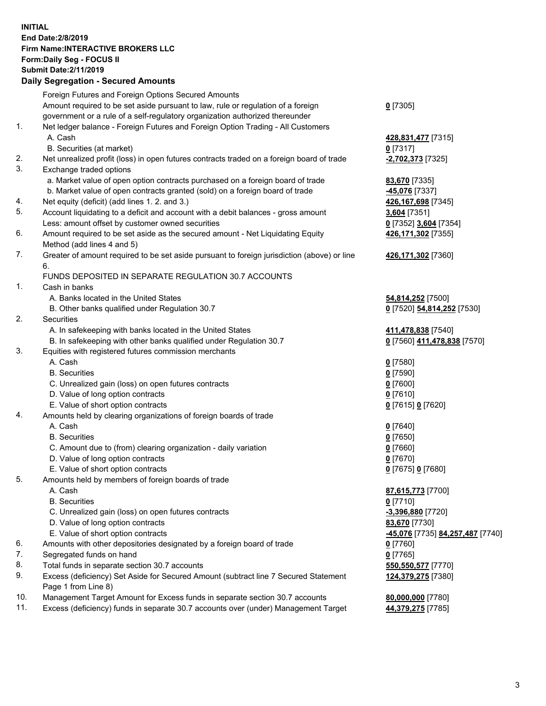## **INITIAL End Date:2/8/2019 Firm Name:INTERACTIVE BROKERS LLC Form:Daily Seg - FOCUS II Submit Date:2/11/2019 Daily Segregation - Secured Amounts**

|     | Dany Segregation - Secured Amounts                                                          |                                                |
|-----|---------------------------------------------------------------------------------------------|------------------------------------------------|
|     | Foreign Futures and Foreign Options Secured Amounts                                         |                                                |
|     | Amount required to be set aside pursuant to law, rule or regulation of a foreign            | $0$ [7305]                                     |
|     | government or a rule of a self-regulatory organization authorized thereunder                |                                                |
| 1.  | Net ledger balance - Foreign Futures and Foreign Option Trading - All Customers             |                                                |
|     | A. Cash                                                                                     | 428,831,477 [7315]                             |
|     | B. Securities (at market)                                                                   | $0$ [7317]                                     |
| 2.  | Net unrealized profit (loss) in open futures contracts traded on a foreign board of trade   | -2,702,373 [7325]                              |
| 3.  | Exchange traded options                                                                     |                                                |
|     | a. Market value of open option contracts purchased on a foreign board of trade              | 83,670 [7335]                                  |
|     | b. Market value of open contracts granted (sold) on a foreign board of trade                | 45,076 [7337]                                  |
| 4.  | Net equity (deficit) (add lines 1. 2. and 3.)                                               | 426,167,698 [7345]                             |
| 5.  | Account liquidating to a deficit and account with a debit balances - gross amount           | 3,604 [7351]                                   |
|     | Less: amount offset by customer owned securities                                            | 0 [7352] 3,604 [7354]                          |
| 6.  | Amount required to be set aside as the secured amount - Net Liquidating Equity              | 426,171,302 [7355]                             |
|     | Method (add lines 4 and 5)                                                                  |                                                |
| 7.  | Greater of amount required to be set aside pursuant to foreign jurisdiction (above) or line | 426,171,302 [7360]                             |
|     | 6.                                                                                          |                                                |
|     | FUNDS DEPOSITED IN SEPARATE REGULATION 30.7 ACCOUNTS                                        |                                                |
| 1.  | Cash in banks                                                                               |                                                |
|     | A. Banks located in the United States                                                       | 54,814,252 [7500]                              |
|     | B. Other banks qualified under Regulation 30.7                                              | 0 [7520] 54,814,252 [7530]                     |
| 2.  | <b>Securities</b>                                                                           |                                                |
|     | A. In safekeeping with banks located in the United States                                   | 411,478,838 [7540]                             |
|     | B. In safekeeping with other banks qualified under Regulation 30.7                          | 0 [7560] 411,478,838 [7570]                    |
| 3.  | Equities with registered futures commission merchants                                       |                                                |
|     | A. Cash                                                                                     | $0$ [7580]                                     |
|     | <b>B.</b> Securities                                                                        | $0$ [7590]                                     |
|     | C. Unrealized gain (loss) on open futures contracts                                         | $0$ [7600]                                     |
|     | D. Value of long option contracts                                                           | $0$ [7610]                                     |
|     | E. Value of short option contracts                                                          | 0 [7615] 0 [7620]                              |
| 4.  | Amounts held by clearing organizations of foreign boards of trade                           |                                                |
|     | A. Cash                                                                                     | $0$ [7640]                                     |
|     | <b>B.</b> Securities                                                                        | $0$ [7650]                                     |
|     | C. Amount due to (from) clearing organization - daily variation                             | $0$ [7660]                                     |
|     | D. Value of long option contracts                                                           | $0$ [7670]                                     |
| 5.  | E. Value of short option contracts                                                          | 0 [7675] 0 [7680]                              |
|     | Amounts held by members of foreign boards of trade<br>A. Cash                               |                                                |
|     | <b>B.</b> Securities                                                                        | 87,615,773 [7700]<br>$0$ [7710]                |
|     | C. Unrealized gain (loss) on open futures contracts                                         | -3,396,880 [7720]                              |
|     | D. Value of long option contracts                                                           | 83,670 [7730]                                  |
|     | E. Value of short option contracts                                                          | <u>-45,076</u> [7735] <u>84,257,487</u> [7740] |
| 6.  | Amounts with other depositories designated by a foreign board of trade                      | $0$ [7760]                                     |
| 7.  | Segregated funds on hand                                                                    | $0$ [7765]                                     |
| 8.  | Total funds in separate section 30.7 accounts                                               | 550,550,577 [7770]                             |
| 9.  | Excess (deficiency) Set Aside for Secured Amount (subtract line 7 Secured Statement         | 124,379,275 [7380]                             |
|     | Page 1 from Line 8)                                                                         |                                                |
| 10. | Management Target Amount for Excess funds in separate section 30.7 accounts                 | 80,000,000 [7780]                              |
| 11. | Excess (deficiency) funds in separate 30.7 accounts over (under) Management Target          | 44,379,275 [7785]                              |
|     |                                                                                             |                                                |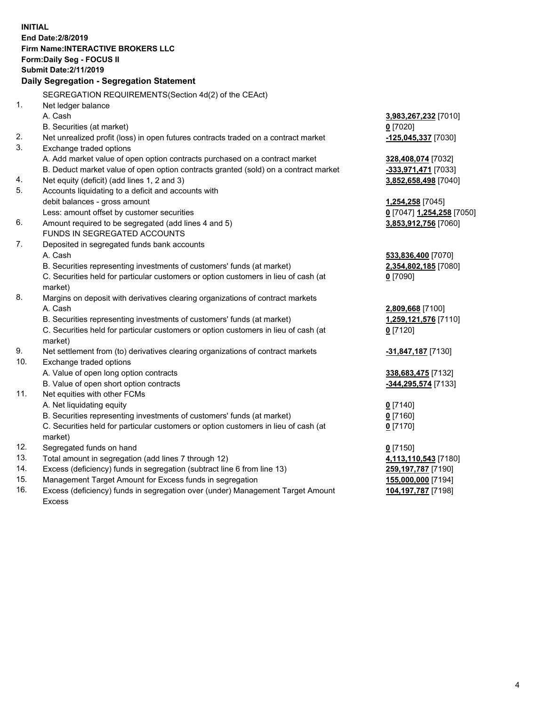**INITIAL End Date:2/8/2019 Firm Name:INTERACTIVE BROKERS LLC Form:Daily Seg - FOCUS II Submit Date:2/11/2019 Daily Segregation - Segregation Statement** SEGREGATION REQUIREMENTS(Section 4d(2) of the CEAct) 1. Net ledger balance A. Cash **3,983,267,232** [7010] B. Securities (at market) **0** [7020] 2. Net unrealized profit (loss) in open futures contracts traded on a contract market **-125,045,337** [7030] 3. Exchange traded options A. Add market value of open option contracts purchased on a contract market **328,408,074** [7032] B. Deduct market value of open option contracts granted (sold) on a contract market **-333,971,471** [7033] 4. Net equity (deficit) (add lines 1, 2 and 3) **3,852,658,498** [7040] 5. Accounts liquidating to a deficit and accounts with debit balances - gross amount **1,254,258** [7045] Less: amount offset by customer securities **0** [7047] **1,254,258** [7050] 6. Amount required to be segregated (add lines 4 and 5) **3,853,912,756** [7060] FUNDS IN SEGREGATED ACCOUNTS 7. Deposited in segregated funds bank accounts A. Cash **533,836,400** [7070] B. Securities representing investments of customers' funds (at market) **2,354,802,185** [7080] C. Securities held for particular customers or option customers in lieu of cash (at market) **0** [7090] 8. Margins on deposit with derivatives clearing organizations of contract markets A. Cash **2,809,668** [7100] B. Securities representing investments of customers' funds (at market) **1,259,121,576** [7110] C. Securities held for particular customers or option customers in lieu of cash (at market) **0** [7120] 9. Net settlement from (to) derivatives clearing organizations of contract markets **-31,847,187** [7130] 10. Exchange traded options A. Value of open long option contracts **338,683,475** [7132] B. Value of open short option contracts **-344,295,574** [7133] 11. Net equities with other FCMs A. Net liquidating equity **0** [7140] B. Securities representing investments of customers' funds (at market) **0** [7160] C. Securities held for particular customers or option customers in lieu of cash (at market) **0** [7170] 12. Segregated funds on hand **0** [7150] 13. Total amount in segregation (add lines 7 through 12) **4,113,110,543** [7180] 14. Excess (deficiency) funds in segregation (subtract line 6 from line 13) **259,197,787** [7190] 15. Management Target Amount for Excess funds in segregation **155,000,000** [7194] 16. Excess (deficiency) funds in segregation over (under) Management Target Amount **104,197,787** [7198]

Excess